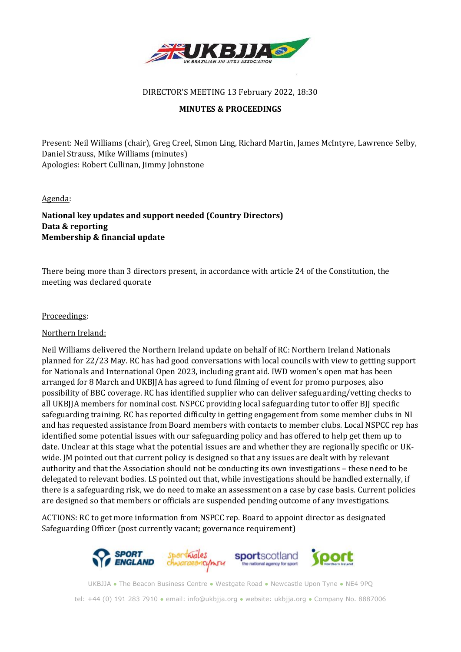

#### DIRECTOR'S MEETING 13 February 2022, 18:30

#### **MINUTES & PROCEEDINGS**

Present: Neil Williams (chair), Greg Creel, Simon Ling, Richard Martin, James McIntyre, Lawrence Selby, Daniel Strauss, Mike Williams (minutes) Apologies: Robert Cullinan, Jimmy Johnstone

#### Agenda:

#### **National key updates and support needed (Country Directors) Data & reporting Membership & financial update**

There being more than 3 directors present, in accordance with article 24 of the Constitution, the meeting was declared quorate

#### Proceedings:

#### Northern Ireland:

Neil Williams delivered the Northern Ireland update on behalf of RC: Northern Ireland Nationals planned for 22/23 May. RC has had good conversations with local councils with view to getting support for Nationals and International Open 2023, including grant aid. IWD women's open mat has been arranged for 8 March and UKBJJA has agreed to fund filming of event for promo purposes, also possibility of BBC coverage. RC has identified supplier who can deliver safeguarding/vetting checks to all UKBJJA members for nominal cost. NSPCC providing local safeguarding tutor to offer BJJ specific safeguarding training. RC has reported difficulty in getting engagement from some member clubs in NI and has requested assistance from Board members with contacts to member clubs. Local NSPCC rep has identified some potential issues with our safeguarding policy and has offered to help get them up to date. Unclear at this stage what the potential issues are and whether they are regionally specific or UKwide. JM pointed out that current policy is designed so that any issues are dealt with by relevant authority and that the Association should not be conducting its own investigations – these need to be delegated to relevant bodies. LS pointed out that, while investigations should be handled externally, if there is a safeguarding risk, we do need to make an assessment on a case by case basis. Current policies are designed so that members or officials are suspended pending outcome of any investigations.

ACTIONS: RC to get more information from NSPCC rep. Board to appoint director as designated Safeguarding Officer (post currently vacant; governance requirement)



UKBJJA ● The Beacon Business Centre ● Westgate Road ● Newcastle Upon Tyne ● NE4 9PQ tel: +44 (0) 191 283 7910 ● email: [info@ukbjja.org](mailto:info@ukbjja.org) ● website: [ukbjja.org](http://ukbjja.org/) ● Company No. 8887006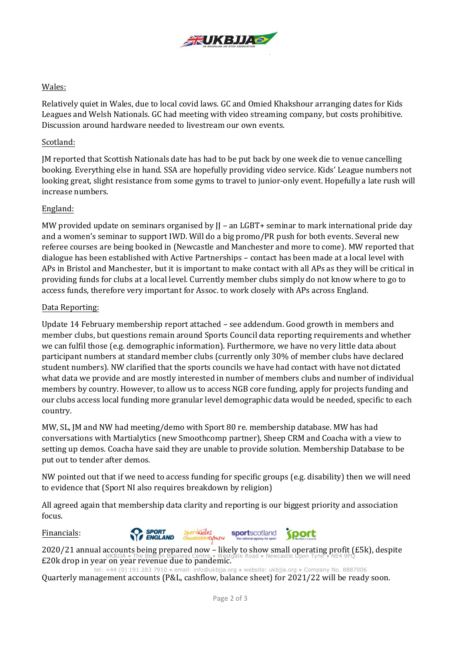

#### Wales:

Relatively quiet in Wales, due to local covid laws. GC and Omied Khakshour arranging dates for Kids Leagues and Welsh Nationals. GC had meeting with video streaming company, but costs prohibitive. Discussion around hardware needed to livestream our own events.

#### Scotland:

JM reported that Scottish Nationals date has had to be put back by one week die to venue cancelling booking. Everything else in hand. SSA are hopefully providing video service. Kids' League numbers not looking great, slight resistance from some gyms to travel to junior-only event. Hopefully a late rush will increase numbers.

#### England:

MW provided update on seminars organised by II – an LGBT+ seminar to mark international pride day and a women's seminar to support IWD. Will do a big promo/PR push for both events. Several new referee courses are being booked in (Newcastle and Manchester and more to come). MW reported that dialogue has been established with Active Partnerships – contact has been made at a local level with APs in Bristol and Manchester, but it is important to make contact with all APs as they will be critical in providing funds for clubs at a local level. Currently member clubs simply do not know where to go to access funds, therefore very important for Assoc. to work closely with APs across England.

#### Data Reporting:

Update 14 February membership report attached – see addendum. Good growth in members and member clubs, but questions remain around Sports Council data reporting requirements and whether we can fulfil those (e.g. demographic information). Furthermore, we have no very little data about participant numbers at standard member clubs (currently only 30% of member clubs have declared student numbers). NW clarified that the sports councils we have had contact with have not dictated what data we provide and are mostly interested in number of members clubs and number of individual members by country. However, to allow us to access NGB core funding, apply for projects funding and our clubs access local funding more granular level demographic data would be needed, specific to each country.

MW, SL, JM and NW had meeting/demo with Sport 80 re. membership database. MW has had conversations with Martialytics (new Smoothcomp partner), Sheep CRM and Coacha with a view to setting up demos. Coacha have said they are unable to provide solution. Membership Database to be put out to tender after demos.

NW pointed out that if we need to access funding for specific groups (e.g. disability) then we will need to evidence that (Sport NI also requires breakdown by religion)

All agreed again that membership data clarity and reporting is our biggest priority and association focus.

Financials:



UKBJJA ● The Beacon Business Centre ● Westgate Road ● Newcastle Upon Tyne ● NE4 9PQ £20k drop in year on year revenue due to pandemic. 2020/21 annual accounts being prepared now – likely to show small operating profit (£5k), despite

tel: +44 (0) 191 283 7910 ● email: info@ukbjja.org ● website: ukbjja.org ● Company No. 8887006 Quarterly management accounts (P&L, c[ashflow, balan](mailto:info@ukbjja.org)ce shee[t\) for 202](http://ukbjja.org/)1/22 will be ready soon.

sportscotland

**Sport**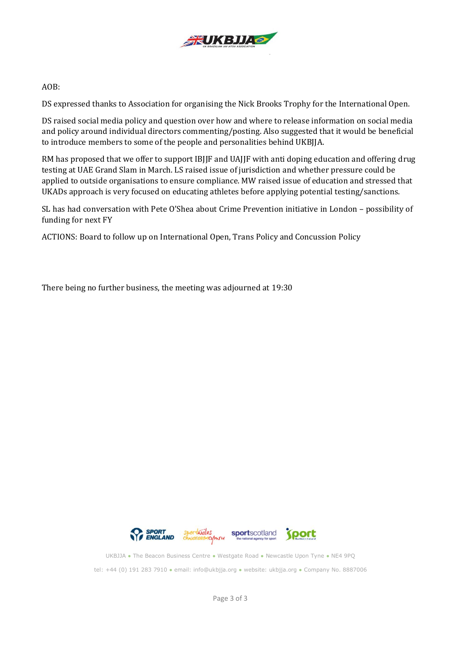

#### AOB:

DS expressed thanks to Association for organising the Nick Brooks Trophy for the International Open.

DS raised social media policy and question over how and where to release information on social media and policy around individual directors commenting/posting. Also suggested that it would be beneficial to introduce members to some of the people and personalities behind UKBJJA.

RM has proposed that we offer to support IBJJF and UAJJF with anti doping education and offering drug testing at UAE Grand Slam in March. LS raised issue of jurisdiction and whether pressure could be applied to outside organisations to ensure compliance. MW raised issue of education and stressed that UKADs approach is very focused on educating athletes before applying potential testing/sanctions.

SL has had conversation with Pete O'Shea about Crime Prevention initiative in London – possibility of funding for next FY

ACTIONS: Board to follow up on International Open, Trans Policy and Concussion Policy

There being no further business, the meeting was adjourned at 19:30



UKBJJA ● The Beacon Business Centre ● Westgate Road ● Newcastle Upon Tyne ● NE4 9PQ tel: +44 (0) 191 283 7910 ● email[: info@ukbjja.org](mailto:info@ukbjja.org) ● website[: ukbjja.org](http://ukbjja.org/) ● Company No. 8887006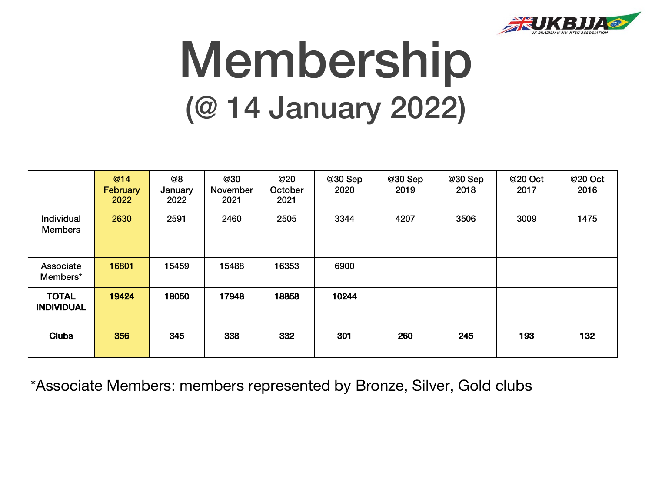

# Membership (@ 14 January 2022)

|                                     | @14<br>February<br>2022 | @8<br>January<br>2022 | @30<br>November<br>2021 | @20<br>October<br>2021 | @30 Sep<br>2020 | @30 Sep<br>2019 | @30 Sep<br>2018 | @20 Oct<br>2017 | @20 Oct<br>2016 |
|-------------------------------------|-------------------------|-----------------------|-------------------------|------------------------|-----------------|-----------------|-----------------|-----------------|-----------------|
| <b>Individual</b><br><b>Members</b> | 2630                    | 2591                  | 2460                    | 2505                   | 3344            | 4207            | 3506            | 3009            | 1475            |
| Associate<br>Members*               | 16801                   | 15459                 | 15488                   | 16353                  | 6900            |                 |                 |                 |                 |
| <b>TOTAL</b><br><b>INDIVIDUAL</b>   | 19424                   | 18050                 | 17948                   | 18858                  | 10244           |                 |                 |                 |                 |
| <b>Clubs</b>                        | 356                     | 345                   | 338                     | 332                    | 301             | 260             | 245             | 193             | 132             |

\*Associate Members: members represented by Bronze, Silver, Gold clubs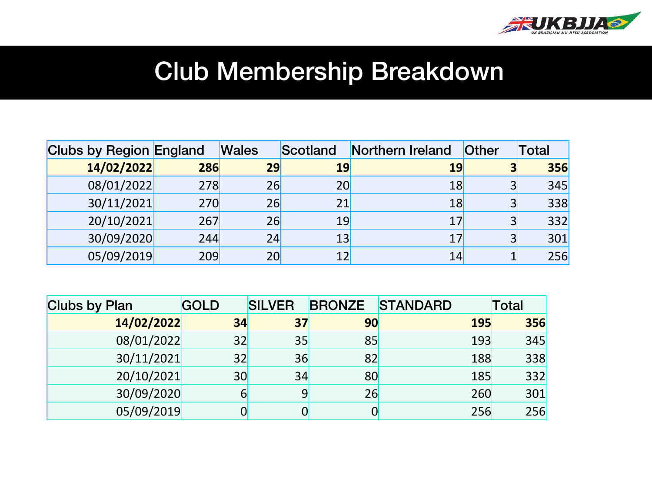

### Club Membership Breakdown

| <b>Clubs by Region England</b> |     | <b>Wales</b> | Scotland | Northern Ireland | Other | Гotal |
|--------------------------------|-----|--------------|----------|------------------|-------|-------|
| 14/02/2022                     | 286 | 29           | 19       | 19               | 3     | 356   |
| 08/01/2022                     | 278 | 26           | 20       | 18               | 3     | 345   |
| 30/11/2021                     | 270 | 26           | 21       | 18               | 3     | 338   |
| 20/10/2021                     | 267 | 26           | 19       | 17               | 3     | 332   |
| 30/09/2020                     | 244 | 24           | 13       | 17               | 3     | 301   |
| 05/09/2019                     | 209 | 20           | 12       | 14               |       | 256   |

| <b>Clubs by Plan</b> | <b>GOLD</b> | <b>SILVER</b> | <b>BRONZE</b> | <b>STANDARD</b> | <b>Total</b> |
|----------------------|-------------|---------------|---------------|-----------------|--------------|
| 14/02/2022           | 34          | 37            | 90            | <b>195</b>      | 356          |
| 08/01/2022           | 32          | 35            | 85            | 193             | 345          |
| 30/11/2021           | 32          | 36            | 82            | 188             | 338          |
| 20/10/2021           | 30          | 34            | 80            | 185             | 332          |
| 30/09/2020           | 6           | 9             | 26            | 260             | 301          |
| 05/09/2019           |             |               |               | 256             | 256          |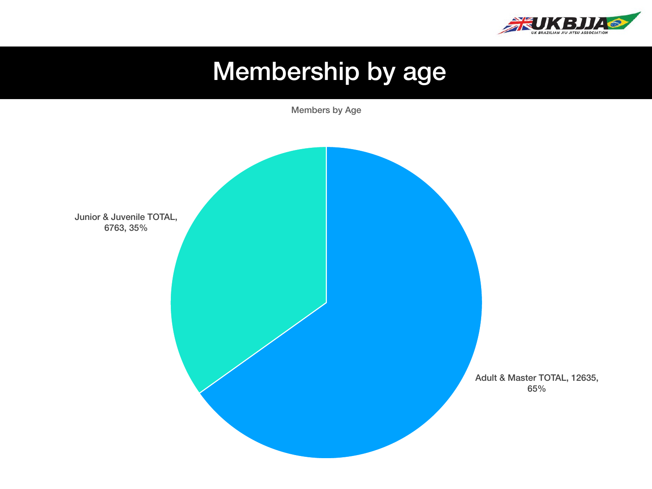

## Membership by age

Members by Age

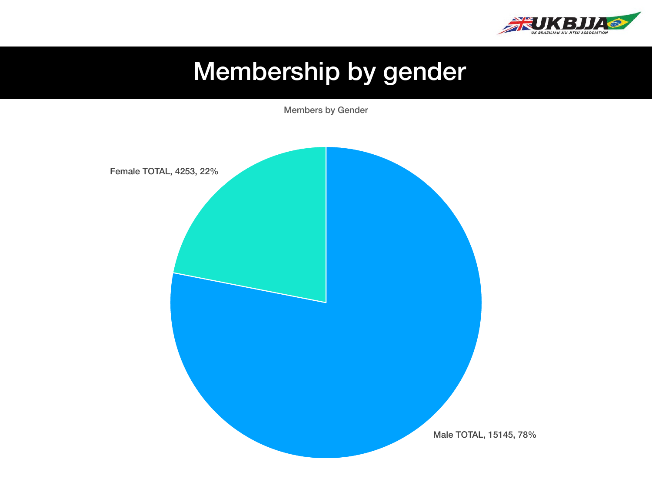

# Membership by gender

Members by Gender